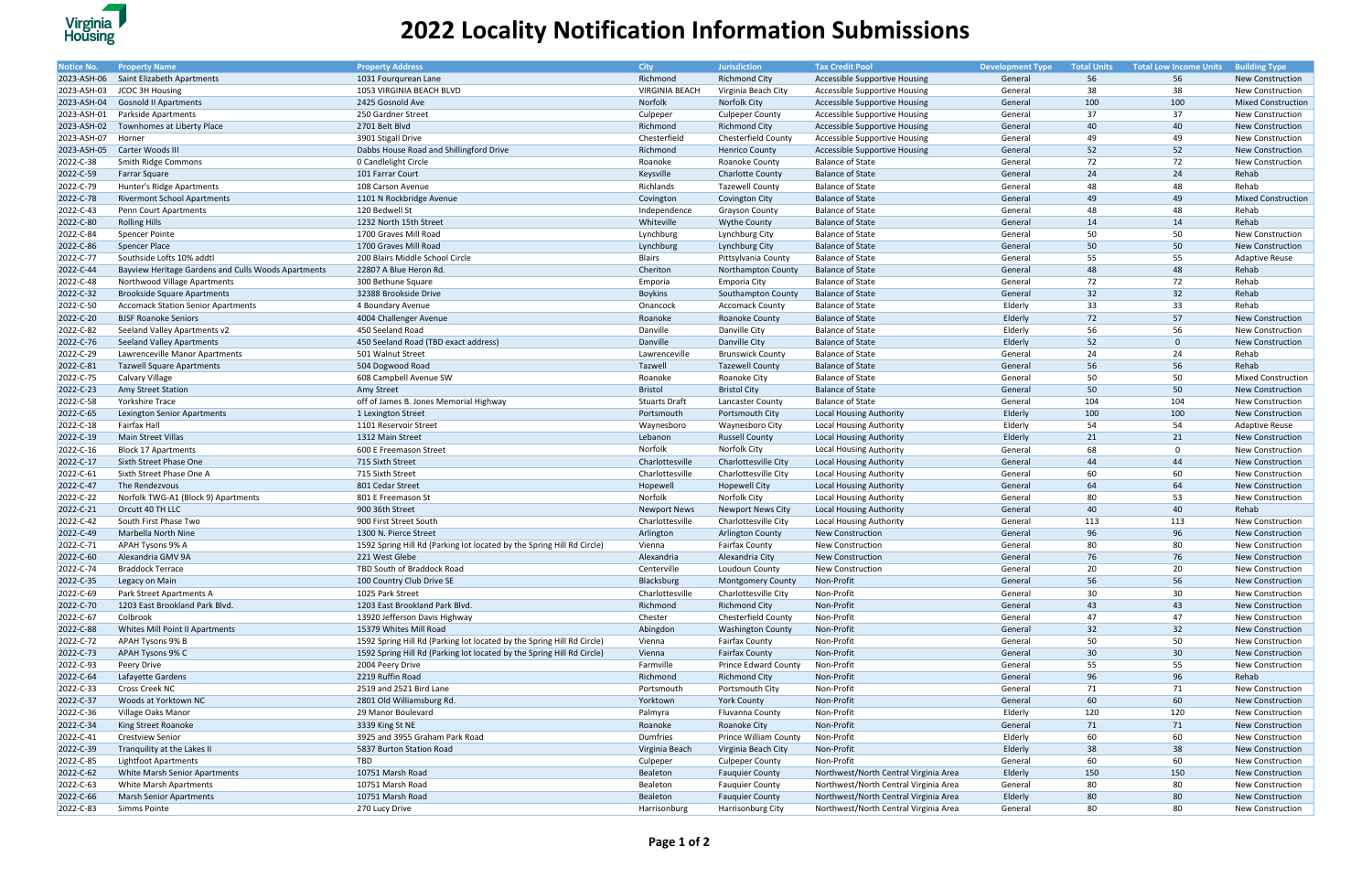| Notice No.  | <b>Property Name</b>                                | <b>Property Address</b>                                                | <b>City</b>           | <b>Jurisdiction</b>         | <b>Tax Credit Pool</b>                | <b>Development Type</b> | <b>Total Units</b> | <b>Total Low Income Units Building Type</b> |                           |
|-------------|-----------------------------------------------------|------------------------------------------------------------------------|-----------------------|-----------------------------|---------------------------------------|-------------------------|--------------------|---------------------------------------------|---------------------------|
| 2023-ASH-06 | Saint Elizabeth Apartments                          | 1031 Fourqurean Lane                                                   | Richmond              | <b>Richmond City</b>        | <b>Accessible Supportive Housing</b>  | General                 | 56                 | 56                                          | New Construction          |
| 2023-ASH-03 | <b>JCOC 3H Housing</b>                              | 1053 VIRGINIA BEACH BLVD                                               | <b>VIRGINIA BEACH</b> | Virginia Beach City         | Accessible Supportive Housing         | General                 | 38                 | 38                                          | New Construction          |
| 2023-ASH-04 | <b>Gosnold II Apartments</b>                        | 2425 Gosnold Ave                                                       | Norfolk               | Norfolk City                | Accessible Supportive Housing         | General                 | 100                | 100                                         | <b>Mixed Construction</b> |
| 2023-ASH-01 | <b>Parkside Apartments</b>                          | 250 Gardner Street                                                     | Culpeper              | <b>Culpeper County</b>      | Accessible Supportive Housing         | General                 | 37                 | 37                                          | <b>New Construction</b>   |
| 2023-ASH-02 | Townhomes at Liberty Place                          | 2701 Belt Blvd                                                         | Richmond              | <b>Richmond City</b>        | <b>Accessible Supportive Housing</b>  | General                 | 40                 | 40                                          | <b>New Construction</b>   |
| 2023-ASH-07 | Horner                                              | 3901 Stigall Drive                                                     | Chesterfield          | Chesterfield County         | <b>Accessible Supportive Housing</b>  | General                 | 49                 | 49                                          | <b>New Construction</b>   |
| 2023-ASH-05 | Carter Woods III                                    | Dabbs House Road and Shillingford Drive                                | Richmond              | <b>Henrico County</b>       | Accessible Supportive Housing         | General                 | 52                 | 52                                          | <b>New Construction</b>   |
| 2022-C-38   | Smith Ridge Commons                                 | 0 Candlelight Circle                                                   | Roanoke               | Roanoke County              | <b>Balance of State</b>               | General                 | 72                 | 72                                          | New Construction          |
| 2022-C-59   | Farrar Square                                       | 101 Farrar Court                                                       | Keysville             | <b>Charlotte County</b>     | <b>Balance of State</b>               | General                 | 24                 | 24                                          | Rehab                     |
| 2022-C-79   | Hunter's Ridge Apartments                           | 108 Carson Avenue                                                      | Richlands             | <b>Tazewell County</b>      | <b>Balance of State</b>               | Genera                  | 48                 | 48                                          | Rehab                     |
| 2022-C-78   | <b>Rivermont School Apartments</b>                  | 1101 N Rockbridge Avenue                                               | Covington             | Covington City              | <b>Balance of State</b>               | General                 | 49                 | 49                                          | <b>Mixed Construction</b> |
| 2022-C-43   | Penn Court Apartments                               | 120 Bedwell St                                                         | Independence          | <b>Grayson County</b>       | <b>Balance of State</b>               | General                 | 48                 | 48                                          | Rehab                     |
| 2022-C-80   | <b>Rolling Hills</b>                                | 1232 North 15th Street                                                 | Whiteville            | <b>Wythe County</b>         | <b>Balance of State</b>               | General                 | 14                 | 14                                          | Rehab                     |
| 2022-C-84   | <b>Spencer Pointe</b>                               | 1700 Graves Mill Road                                                  | Lynchburg             | Lynchburg City              | <b>Balance of State</b>               | Genera                  | 50                 | 50                                          | <b>New Construction</b>   |
| 2022-C-86   | <b>Spencer Place</b>                                | 1700 Graves Mill Road                                                  | Lynchburg             | Lynchburg City              | <b>Balance of State</b>               | General                 | 50                 | 50                                          | <b>New Construction</b>   |
| 2022-C-77   | Southside Lofts 10% addtl                           | 200 Blairs Middle School Circle                                        | <b>Blairs</b>         |                             | <b>Balance of State</b>               | General                 | 55                 | 55                                          | <b>Adaptive Reuse</b>     |
|             |                                                     |                                                                        |                       | Pittsylvania County         |                                       |                         | 48                 |                                             |                           |
| 2022-C-44   | Bayview Heritage Gardens and Culls Woods Apartments | 22807 A Blue Heron Rd.                                                 | Cheriton              | <b>Northampton County</b>   | <b>Balance of State</b>               | General                 |                    | 48                                          | Rehab                     |
| 2022-C-48   | Northwood Village Apartments                        | 300 Bethune Square                                                     | Emporia               | <b>Emporia City</b>         | <b>Balance of State</b>               | General                 | 72                 | 72                                          | Rehab                     |
| 2022-C-32   | <b>Brookside Square Apartments</b>                  | 32388 Brookside Drive                                                  | <b>Boykins</b>        | Southampton County          | <b>Balance of State</b>               | Genera                  | 32                 | 32                                          | Rehab                     |
| 2022-C-50   | <b>Accomack Station Senior Apartments</b>           | 4 Boundary Avenue                                                      | Onancock              | <b>Accomack County</b>      | <b>Balance of State</b>               | Elderly                 | 33                 | 33                                          | Rehab                     |
| 2022-C-20   | <b>BJSF Roanoke Seniors</b>                         | 4004 Challenger Avenue                                                 | Roanoke               | <b>Roanoke County</b>       | <b>Balance of State</b>               | Elderly                 | 72                 | 57                                          | New Construction          |
| 2022-C-82   | Seeland Valley Apartments v2                        | 450 Seeland Road                                                       | Danville              | Danville City               | <b>Balance of State</b>               | Elderly                 | 56                 | 56                                          | New Construction          |
| 2022-C-76   | <b>Seeland Valley Apartments</b>                    | 450 Seeland Road (TBD exact address)                                   | Danville              | Danville City               | <b>Balance of State</b>               | Elderly                 | 52                 | $\overline{0}$                              | <b>New Construction</b>   |
| 2022-C-29   | Lawrenceville Manor Apartments                      | 501 Walnut Street                                                      | Lawrenceville         | <b>Brunswick County</b>     | <b>Balance of State</b>               | General                 | 24                 | 24                                          | Rehab                     |
| 2022-C-81   | <b>Tazwell Square Apartments</b>                    | 504 Dogwood Road                                                       | Tazwell               | <b>Tazewell County</b>      | <b>Balance of State</b>               | General                 | 56                 | 56                                          | Rehab                     |
| 2022-C-75   | Calvary Village                                     | 608 Campbell Avenue SW                                                 | Roanoke               | Roanoke City                | <b>Balance of State</b>               | General                 | 50                 | 50                                          | <b>Mixed Construction</b> |
| 2022-C-23   | <b>Amy Street Station</b>                           | Amy Street                                                             | Bristol               | <b>Bristol City</b>         | <b>Balance of State</b>               | General                 | 50                 | 50                                          | New Construction          |
| 2022-C-58   | Yorkshire Trace                                     | off of James B. Jones Memorial Highway                                 | <b>Stuarts Draft</b>  | Lancaster County            | <b>Balance of State</b>               | Genera                  | 104                | 104                                         | New Construction          |
| 2022-C-65   | Lexington Senior Apartments                         | 1 Lexington Street                                                     | Portsmouth            | Portsmouth City             | <b>Local Housing Authority</b>        | Elderly                 | 100                | 100                                         | New Construction          |
| 2022-C-18   | Fairfax Hall                                        | 1101 Reservoir Street                                                  | Waynesboro            | Waynesboro City             | Local Housing Authority               | Elderly                 | 54                 | 54                                          | <b>Adaptive Reuse</b>     |
| 2022-C-19   | Main Street Villas                                  | 1312 Main Street                                                       | Lebanon               | <b>Russell County</b>       | <b>Local Housing Authority</b>        | Elderly                 | 21                 | 21                                          | New Construction          |
| 2022-C-16   | <b>Block 17 Apartments</b>                          | 600 E Freemason Street                                                 | Norfolk               | Norfolk City                | <b>Local Housing Authority</b>        | Genera                  | 68                 | $\overline{0}$                              | <b>New Construction</b>   |
| 2022-C-17   | Sixth Street Phase One                              | 715 Sixth Street                                                       | Charlottesville       | Charlottesville City        | <b>Local Housing Authority</b>        | General                 | 44                 | 44                                          | New Construction          |
| 2022-C-61   | Sixth Street Phase One A                            | 715 Sixth Street                                                       | Charlottesville       | Charlottesville City        | Local Housing Authority               | General                 | 60                 | 60                                          | New Construction          |
| 2022-C-47   | The Rendezvous                                      | 801 Cedar Street                                                       | Hopewell              | <b>Hopewell City</b>        | <b>Local Housing Authority</b>        | General                 | 64                 | 64                                          | New Construction          |
| 2022-C-22   | Norfolk TWG-A1 (Block 9) Apartments                 | 801 E Freemason St                                                     | Norfolk               | Norfolk City                | <b>Local Housing Authority</b>        | General                 | 80                 | 53                                          | New Construction          |
| 2022-C-21   | Orcutt 40 TH LLC                                    | 900 36th Street                                                        | <b>Newport News</b>   | <b>Newport News City</b>    | <b>Local Housing Authority</b>        | General                 | 40                 | 40                                          | Rehab                     |
| 2022-C-42   | South First Phase Two                               | 900 First Street South                                                 | Charlottesville       | Charlottesville City        | <b>Local Housing Authority</b>        | General                 | 113                | 113                                         | New Construction          |
| 2022-C-49   | Marbella North Nine                                 | 1300 N. Pierce Street                                                  | Arlington             | <b>Arlington County</b>     | <b>New Construction</b>               | General                 | 96                 | 96                                          | New Construction          |
| 2022-C-71   | <b>APAH Tysons 9% A</b>                             | 1592 Spring Hill Rd (Parking lot located by the Spring Hill Rd Circle) | Vienna                | <b>Fairfax County</b>       | <b>New Construction</b>               | General                 | 80                 | 80                                          | <b>New Construction</b>   |
| 2022-C-60   | Alexandria GMV 9A                                   | 221 West Glebe                                                         | Alexandria            | Alexandria City             | <b>New Construction</b>               | General                 | 76                 | 76                                          | <b>New Construction</b>   |
| 2022-C-74   | <b>Braddock Terrace</b>                             | TBD South of Braddock Road                                             | Centerville           | Loudoun County              | <b>New Construction</b>               | General                 | 20                 | 20                                          | New Construction          |
| 2022-C-35   | Legacy on Main                                      | 100 Country Club Drive SE                                              | Blacksburg            | <b>Montgomery County</b>    | Non-Profit                            | General                 | 56                 | 56                                          | New Construction          |
| 2022-C-69   | Park Street Apartments A                            | 1025 Park Street                                                       | Charlottesville       | Charlottesville City        | Non-Profit                            | General                 | 30                 | 30                                          | New Construction          |
| 2022-C-70   | 1203 East Brookland Park Blvd.                      | 1203 East Brookland Park Blvd.                                         | Richmond              | <b>Richmond City</b>        | Non-Profit                            | General                 | 43                 | 43                                          | New Construction          |
| 2022-C-67   | Colbrook                                            | 13920 Jefferson Davis Highway                                          | Chester               | <b>Chesterfield County</b>  | Non-Profit                            | General                 | 47                 | 47                                          | New Construction          |
| 2022-C-88   | Whites Mill Point II Apartments                     | 15379 Whites Mill Road                                                 | Abingdon              | <b>Washington County</b>    | Non-Profit                            | General                 | 32                 | 32                                          | New Construction          |
| 2022-C-72   | APAH Tysons 9% B                                    | 1592 Spring Hill Rd (Parking lot located by the Spring Hill Rd Circle) | Vienna                | <b>Fairfax County</b>       | Non-Profit                            | General                 | 50                 | 50                                          | New Construction          |
| 2022-C-73   | APAH Tysons 9% C                                    | 1592 Spring Hill Rd (Parking lot located by the Spring Hill Rd Circle) | Vienna                | <b>Fairfax County</b>       | Non-Profit                            | General                 | 30                 | 30 <sub>o</sub>                             | <b>New Construction</b>   |
| 2022-C-93   | Peery Drive                                         | 2004 Peery Drive                                                       | Farmville             | <b>Prince Edward County</b> | Non-Profit                            | General                 | 55                 | 55                                          | New Construction          |
| 2022-C-64   | Lafayette Gardens                                   | 2219 Ruffin Road                                                       | Richmond              | <b>Richmond City</b>        | Non-Profit                            | General                 | 96                 | 96                                          | Rehab                     |
| 2022-C-33   | Cross Creek NC                                      | 2519 and 2521 Bird Lane                                                | Portsmouth            | Portsmouth City             | Non-Profit                            | General                 | 71                 | 71                                          | New Construction          |
|             |                                                     |                                                                        |                       |                             |                                       |                         |                    | 60                                          |                           |
| 2022-C-37   | Woods at Yorktown NC                                | 2801 Old Williamsburg Rd.                                              | Yorktown              | <b>York County</b>          | Non-Profit                            | General                 | 60<br>120          | 120                                         | New Construction          |
| 2022-C-36   | Village Oaks Manor                                  | 29 Manor Boulevard                                                     | Palmyra               | Fluvanna County             | Non-Profit<br>Non-Profit              | Elderly                 | 71                 |                                             | New Construction          |
| 2022-C-34   | King Street Roanoke                                 | 3339 King St NE                                                        | Roanoke               | Roanoke City                |                                       | General                 |                    | 71                                          | New Construction          |
| 2022-C-41   | <b>Crestview Senior</b>                             | 3925 and 3955 Graham Park Road                                         | Dumfries              | Prince William County       | Non-Profit                            | Elderly                 | 60                 | 60                                          | New Construction          |
| 2022-C-39   | Tranquility at the Lakes II                         | 5837 Burton Station Road                                               | Virginia Beach        | Virginia Beach City         | Non-Profit                            | Elderly                 | 38                 | 38                                          | New Construction          |
| 2022-C-85   | <b>Lightfoot Apartments</b>                         | TBD                                                                    | Culpeper              | <b>Culpeper County</b>      | Non-Profit                            | General                 | 60                 | 60                                          | New Construction          |
| 2022-C-62   | <b>White Marsh Senior Apartments</b>                | 10751 Marsh Road                                                       | Bealeton              | <b>Fauquier County</b>      | Northwest/North Central Virginia Area | Elderly                 | 150                | 150                                         | New Construction          |
| 2022-C-63   | <b>White Marsh Apartments</b>                       | 10751 Marsh Road                                                       | Bealeton              | <b>Fauquier County</b>      | Northwest/North Central Virginia Area | General                 | 80                 | 80                                          | New Construction          |
| 2022-C-66   | <b>Marsh Senior Apartments</b>                      | 10751 Marsh Road                                                       | Bealeton              | <b>Fauquier County</b>      | Northwest/North Central Virginia Area | Elderly                 | 80                 | 80                                          | New Construction          |
| 2022-C-83   | Simms Pointe                                        | 270 Lucy Drive                                                         | Harrisonburg          | Harrisonburg City           | Northwest/North Central Virginia Area | General                 | 80                 | 80                                          | New Construction          |



## **2022 Locality Notification Information Submissions**